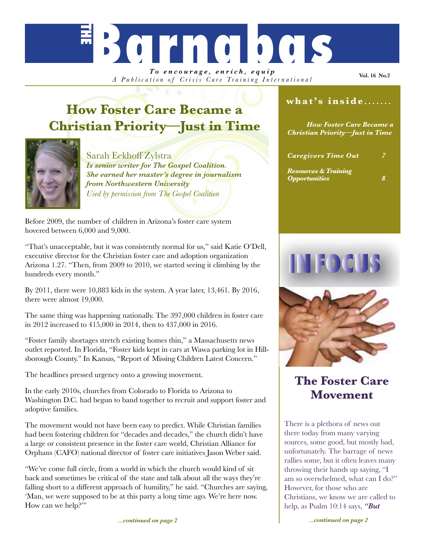# *To encourage, enrich, equip* **Barnabas**

*A Publication of Crisis Care Training Inter national*

**Vol. 16 No.2**

# **How Foster Care Became a Christian Priority—Just in Time**



#### Sarah Eekhoff Zylstra *Is senior writer for The Gospel Coalition. She earned her master's degree in journalism from Northwestern University Used by permission from The Gospel Coalition*

Before 2009, the number of children in Arizona's foster care system hovered between 6,000 and 9,000.

"That's unacceptable, but it was consistently normal for us," said Katie O'Dell, executive director for the Christian foster care and adoption organization Arizona 1.27. "Then, from 2009 to 2010, we started seeing it climbing by the hundreds every month."

By 2011, there were 10,883 kids in the system. A year later, 13,461. By 2016, there were almost 19,000.

The same thing was happening nationally. The 397,000 children in foster care in 2012 increased to 415,000 in 2014, then to 437,000 in 2016.

"Foster family shortages stretch existing homes thin," a Massachusetts news outlet reported. In Florida, "Foster kids kept in cars at Wawa parking lot in Hillsborough County." In Kansas, "Report of Missing Children Latest Concern."

The headlines pressed urgency onto a growing movement.

In the early 2010s, churches from Colorado to Florida to Arizona to Washington D.C. had begun to band together to recruit and support foster and adoptive families.

The movement would not have been easy to predict. While Christian families had been fostering children for "decades and decades," the church didn't have a large or consistent presence in the foster care world, Christian Alliance for Orphans (CAFO) national director of foster care initiatives Jason Weber said.

"We've come full circle, from a world in which the church would kind of sit back and sometimes be critical of the state and talk about all the ways they're falling short to a different approach of humility," he said. "Churches are saying, 'Man, we were supposed to be at this party a long time ago. We're here now. How can we help?"

### **what's inside** *.......*

*How Foster Care Became a Christian Priority—Just in Time*

| <b>Caregivers Time Out</b>      | 7 |
|---------------------------------|---|
| <b>Resources &amp; Training</b> |   |

*Opportunities 8*

**INTEO (CH** 



## **The Foster Care Movement**

There is a plethora of news out there today from many varying sources, some good, but mostly bad, unfortunately. The barrage of news rallies some, but it often leaves many throwing their hands up saying, "I am so overwhelmed, what can I do?" However, for those who are Christians, we know we are called to help, as Psalm 10:14 says, *"But*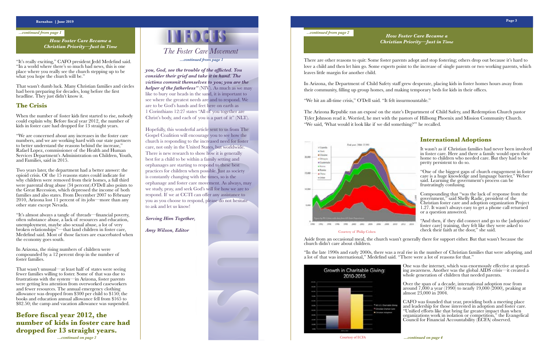*...continued from page 1*

"It's really exciting," CAFO president Jedd Medefind said. "In a world where there's so much bad news, this is one place where you really see the church stepping up to be what you hope the church will be."

*...continued on page 3*

# *The Foster Care Movement a*...continued from page 1 *How Foster Care Became a How Foster Care Became a How Foster Care Became a*

#### **Barnabas | June 2019 Page 3**

That wasn't dumb luck. Many Christian families and circles had been preparing for decades, long before the first headline. They just didn't know it.

#### **The Crisis**

When the number of foster kids first started to rise, nobody could explain why. Before fiscal year 2012, the number of kids in foster care had dropped for 13 straight years.

"We are concerned about any increases in the foster care numbers, and we are working hard with our state partners to better understand the reasons behind the increase," Rafael Lopez, commissioner of the Health and Human Services Department's Administration on Children, Youth, and Families, said in 2015.

Two years later, the department had a better answer: the opioid crisis. Of the 15 reasons states could indicate for why children were removed from their homes, a full third were parental drug abuse (34 percent).O'Dell also points to the Great Recession, which depressed the income of both families and also states. From December 2007 to February 2010, Arizona lost 11 percent of its jobs—more than any other state except Nevada.

"It's almost always a tangle of threads—financial poverty, often substance abuse, a lack of resources and education, unemployment, maybe also sexual abuse, a lot of very broken relationships"—that land children in foster care, Medefind said. Most of those factors are exacerbated when the economy goes south.

In Arizona, the rising numbers of children were compounded by a  $12$  percent drop in the number of foster families.

That wasn't unusual—at least half of states were seeing fewer families willing to foster. Some of that was due to frustrations with the system—in Arizona, foster parents were getting less attention from overworked caseworkers and fewer resources. The annual emergency clothing allowance was dropped from \$300 per child to \$150; the books and education annual allowance fell from \$165 to \$82.50; the camp and vacation allowance was suspended. One was the internet, which was enormously effective at spread- ing awareness. Another was the global AIDS crisis—it created a whole generation of children that needed parents.

**Before fiscal year 2012, the number of kids in foster care had dropped for 13 straight years.**

There are other reasons to quit: Some foster parents adopt and stop fostering; others drop out because it's hard to love a child and then let him go. Some experts point to the increase of single parents or two working parents, which leaves little margin for another child.

In Arizona, the Department of Child Safety staff grew desperate, placing kids in foster homes hours away from their community, filling up group homes, and making temporary beds for kids in their offices.

"We hit an all-time crisis," O'Dell said. "It felt insurmountable."

The Arizona Republic ran an exposé on the state's Department of Child Safety, and Redemption Church pastor Tyler Johnson read it. Worried, he met with the pastors of Hillsong Phoenix and Mission Community Church. "We said, 'What would it look like if we did something?'" he recalled.



#### **International Adoptions**

It wasn't as if Christian families had never been involved in foster care. Here and there a family would open their home to children who needed care. But they had to be pretty persistent to do so.

"One of the biggest gaps of church engagement in foster care is a huge knowledge and language barrier," Weber said. Learning the government's process can be frustratingly confusing.

Compounding that "was the lack of response from the government," said Shelly Radic, president of the Christian foster care and adoption organization Project 1.27. It wasn't always easy to get a phone call returned or a question answered.

"And then, if they did connect and go to the [adoption/ foster care] training, they felt like they were asked to check their faith at the door," she said.

Aside from an occasional meal, the church wasn't generally there for support either. But that wasn't because the church didn't care about children.

"In the late 1990s and early 2000s, there was a real rise in the number of Christian families that were adopting, and a lot of that was international," Medefind said. "There were a lot of reasons for that."



Over the span of a decade, international adoption rose from around 7,000 a year (1990) to nearly 19,000 (2000), peaking at almost 23,000 in 2004.

CAFO was founded that year, providing both a meeting place and leadership for those interested in adoption and foster care. "Unified efforts like that bring far greater impact than when organizations work in isolation or competition," the Evangelical Council for Financial Accountability (ECFA) observed.

*...continued from page 2*

#### Courtesy of Philip Cohen

Courtesy of ECFA

*How Foster Care Became a Christian Priority—Just in Time*

# *Christian Priority—Just in Time*

*you, God, see the trouble of the afflicted. You consider their grief and take it in hand. The victims commit themselves to you; you are the helper of the fatherless"* (NIV). As much as we may like to bury our heads in the sand, it is important to see where the greatest needs are and to respond. We are to be God's hands and feet here on earth as 1 Corinthians 12:27 states "All of you together are Christ's body, and each of you is a part of it" (NLT).

Hopefully, this wonderful article sent to us from The Gospel Coalition will encourage you to see how the church is responding to the increased need for foster care, not only in the United States, but worldwide. There is new research to show how it is generally best for a child to be within a family setting and orphanages are starting to respond to these best practices for children when possible. Just as society is constantly changing with the times, so is the orphanage and foster care movement. As always, may we study, pray, and seek God's will for how we are to respond. If we at CCTI can offer any assistance to you as you choose to respond, please do not hesitate to ask and let us know!

*Serving Him Together,*

*Amy Wilson, Editor*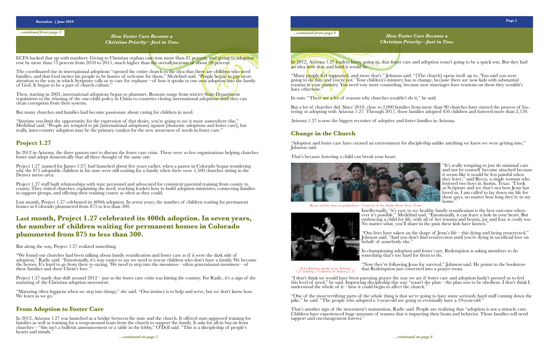"Many people feel supported, and more don't," Johnson said. "[The church] opens itself up to, 'You said you were going to do this, and you're not.' Your children's ministry has to change, because there are now kids with substantial trauma in your ministry. You need way more counseling, because now marriages have tensions on them they wouldn't have otherwise."

In sum: "There are a lot of reasons why churches wouldn't do it," he said.

But a lot of churches did. Since 2010, close to 2,000 families from more than 90 churches have started the process of fos-<br>tering or adopting with Arizona 1.27. Through 2017, those families adopted 450 children and fostere

"It's really tempting to just do minimal care and not let yourself become attached because it seems like it would be less painful when they leave," said Becca, a single woman who fostered two boys in Austin, Texas. "I look at Scripture and see that's not how Jesus has loved us. I am called to lay down my life for these guys, no matter how long they're in my home.

Arizona 1.27 is now the biggest recruiter of adoptive and foster families in Arizona.

"Our lives have taken on the shape of Jesus's life—this dying and being resurrected," Johnson said. "And you don't find resurrection until you're dying in sacrificial love on behalf of somebody else.'

#### **Change in the Church**

"Adoption and foster care have created an environment for discipleship unlike anything we knew we were getting into," Johnson said.

> In championing adoption and foster care, Redemption is asking members to do something that's too hard for them to do.

That's because fostering a child can break your heart.



"I don't think we would have been pursuing prayer the way we are if foster care and adoption hadn't pressed us to feel this level of need," he said. Improving discipleship this way "wasn't the plan—the plan was to be obedient. I don't think I understood the whole of it—how it could begin to affect the church."

That's another sign of the movement's maturation, Radic said. People are realizing that "adoption is not a miracle cure. Children have experienced huge amounts of trauma that is impacting their brain and behavior. Those families will need support and encouragement forever.'

ECFA backed that up with numbers: Giving to Christian orphan care rose more than 87 percent, and giving to adoption rose by more than 73 percent from 2010 to 2015, much higher than the overall increase of about 28 percent.

> Intellectually, "it's easy to see healthy family reunification is the best outcome when- ever it's possible," Medefind said. "Emotionally, it can leave a hole in your heart. But embracing a child for life, with all of her trauma and beauty, joy and fear, is costly too. No matter what, you'll share in the pain these kids have known."

The coordinated rise in international adoptions "opened the entire church to the idea that there are children who need families, and that God invites his people to be homes of welcome for them," Medefind said. "People began to pay more attention to the way in which Scripture calls us to care for orphans—of how it speaks to our own adoption into the family of God. It began to be a part of church culture."

> "Now they're following Jesus for survival," Johnson said. He points to the bookstore that Redemption just converted into a prayer room.

"One of the most terrifying parts of the whole thing is that we're going to have some seriously hard stuff coming down the pike," he said. "The people who adopted a 5-year-old are going to eventually have a 19-year-old."

"Maturing often happens when we step into things," she said. "Our instinct is to help and serve, but we don't know how. We learn as we go."

In 2012, Arizona 1.27 was launched as a bridge between the state and the church. It offered state-approved training for families as well as training for a wrap-around team from the church to support the family. It asks for all-in buy-in from churches—"this isn't a bulletin announcement or a table in the lobby," O'Dell said. "This is a discipleship of people's hearts and minds.

Then, starting in 2005, international adoptions began to plummet. Reasons range from stricter State Department regulations to the relaxing of the one-child policy in China to countries closing international adoptions until they can clean corruption from their systems.

But many churches and families had become passionate about caring for children in need.

"Anytime you limit the opportunity for the expression of that desire, you're going to see it more somewhere else," Medefind said. "People are tempted to pit [international adoptions] against [domestic adoptions and foster care], but really, inter-country adoption may be the primary catalyst for the new awareness of needs in foster care."

#### **Project 1.27**

In 2012 in Arizona, the three pastors met to discuss the foster care crisis. There were so few organizations helping churches foster and adopt domestically that all three thought of the same one.

Project 1.27 (named for James 1:27) had launched about five years earlier, when a pastor in Colorado began wondering why the 875 adoptable children in his state were still waiting for a family when there were 1,500 churches sitting in the Denver metro area.

Project 1.27 staff built relationships with state personnel and advocated for consistent parental training from county to county. They visited churches, explaining the need, teaching leaders how to build adoption ministries, connecting families in support groups, and offering their training course as often as they could.

Last month, Project 1.27 celebrated its 400th adoption. In seven years, the number of children waiting for permanent homes in Colorado plummeted from 875 to less than 300.

### **Last month, Project 1.27 celebrated its 400th adoption. In seven years, the number of children waiting for permanent homes in Colorado plummeted from 875 to less than 300.**

But along the way, Project 1.27 realized something.

"We found our churches had been talking about family reunification and foster care as if it were the dark side of adoption," Radic said. "Emotionally, it's way easier to say we need to rescue children who don't have a family. We become the heroes. It's hard to go from there to saying, 'We need to step into the messiness—often generational messiness—of these families and show Christ's love.'"

Project 1.27 made that shift around 2012—just as the foster care crisis was hitting the country. For Radic, it's a sign of the maturing of the Christian adoption movement.

#### **From Adoption to Foster Care**

*...continued from page 3*

Becca and her boys at graduation / Courtesy of the Austin Stone Story Team



Tyler Johnson speaks at an Arizona 1.27 training. / Courtesy of Arizona 1.27

*How Foster Care Became a Christian Priority—Just in Time* *...continued from page 4 How Foster Care Became a* 

In 2012, Arizona 1.27 leaders knew, going in, that foster care and adoption wasn't going to be a quick win. But they had no idea how slow and hard it would be.

# *Christian Priority—Just in Time*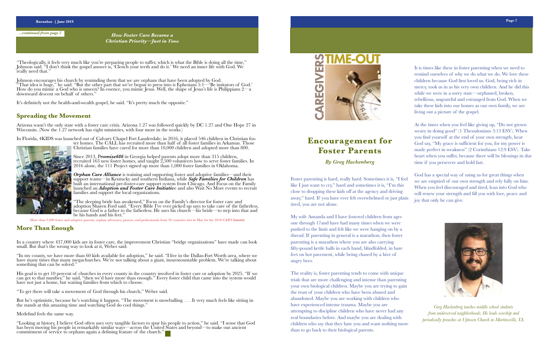#### **Barnabas | June 2019 Page 7**

"Theologically, it feels very much like you're preparing people to suffer, which is what the Bible is doing all the time," Johnson said. "I don't think the gospel answer is, 'Clench your teeth and do it.' We need an inner life with God. We really need that."

*...continued from page 5*

Johnson encourages his church by reminding them that we are orphans that have been adopted by God. "That idea is huge," he said. "But the other part that we've begun to press into is Ephesians 5:1—'Be imitators of God.' How do you mimic a God who is unseen? In essence, you mimic Jesus. Well, the shape of Jesus's life is Philippians  $2\text{--}a$ downward descent on behalf of others."

It's definitely not the health-and-wealth gospel, he said. "It's pretty much the opposite."

Since 2013, Promise686 in Georgia helped parents adopt more than 315 children, recruited 163 new foster homes, and taught 2,500 volunteers how to serve foster families. In 2016 alone, the 111 Project signed up more than 1,000 foster families in Oklahoma.

#### **Spreading the Movement**

Arizona wasn't the only state with a foster care crisis. Arizona 1.27 was followed quickly by DC 1.27 and One Hope 27 in Wisconsin. (Now the 1.27 network has eight ministries, with four more in the works.)

In Florida, 4KIDS was launched out of Calvary Chapel Fort Lauderdale; in 2016, it placed 546 children in Christian fos- ter homes. The CALL has recruited more than half of all foster families in Arkansas. Those Christian families have cared for more than 10,000 children and adopted more than 800.



"In my county, we have more than 60 kids available for adoption," he said. "I live in the Dallas-Fort Worth area, where we have many times that many megachurches. We're not talking about a giant, insurmountable problem. We're talking about something that can be solved."

His goal is to get 10 percent of churches in every county in the country involved in foster care or adoption by 2025. "If we can get to that number," he said, "then we'd have more than enough." Every foster child that came into the system would have not just a home, but waiting families from which to choose.

But he's optimistic, because he's watching it happen. "The movement is snowballing. . . . It very much feels like sitting in the stands at this amazing time and watching God do cool things."

*Orphan Care Alliance* is training and supporting foster and adoptive families—and their support teams—in Kentucky and southern Indiana, while *Safe Families for Children* has built an international pre-foster-care support system from Chicago. And Focus on the Family launched an *Adoption and Foster Care Initiativ*e and also Wait No More events to recruit families and support the local organizations.

"The sleeping bride has awakened," Focus on the Family's director for foster care and adoption Sharen Ford said. "Every Bible I've ever picked up says to take care of the fatherless, because God is a father to the fatherless. He uses his church—his bride—to step into that and be his hands and his feet."

More than 2,000 foster and adoptive parents, orphan advocates, pastors, and professionals from 30 countries met in May for the 2018 CAFO Summit.

### **More Than Enough**

In a country where 437,000 kids are in foster care, the improvement Christian "bridge organizations" have made can look small. But that's the wrong way to look at it, Weber said.

"To get there will take a movement of God through his church," Weber said.

Medefind feels the same way.

"Looking at history, I believe God often uses very tangible factors to spur his people to action," he said. "I sense that God has been moving his people in remarkably similar ways—across the United States and beyond—to make our ancient commitment of service to orphans again a defining feature of the church."

*How Foster Care Became a Christian Priority—Just in Time*



My wife Amanda and I have fostered children from ages one through 17and have had many times when we were pushed to the limit and felt like we were hanging on by a thread. If parenting in general is a marathon, then foster parenting is a marathon where you are also carrying fifty-pound kettle balls in each hand, blindfolded, in bare feet on hot pavement, while being chased by a hive of angry bees.

The reality is, foster parenting tends to come with unique trials that are more challenging and intense than parenting your own biological children. Maybe you are trying to gain the trust of your children who have been abused and abandoned. Maybe you are working with children who have experienced intense trauma. Maybe you are attempting to discipline children who have never had any real boundaries before. And maybe you are dealing with children who say that they hate you and want nothing more than to go back to their biological parents.

Foster parenting is hard, really hard. Sometimes it is, "I feel like I just want to cry," hard and sometimes it is, "I'm this close to dropping these kids off at the agency and driving away," hard. If you have ever felt overwhelmed or just plain tired, you are not alone. God has a special way of using us for great things when we are emptied of our own strength and rely fully on him. When you feel discouraged and tired, lean into God who will renew your strength and fill you with love, peace and joy that only he can give.

# **Encouragement for Foster Parents**

*By Greg Hackenberg*

It is times like these in foster parenting when we need to remind ourselves of why we do what we do. We love these children because God first loved us. God, being rich in mercy, took us in as his very own children. And he did this while we were in a sorry state—orphaned, broken, rebellious, ungrateful and estranged from God. When we take these kids into our homes as our own family, we are living out a picture of the gospel.

At the times when you feel like giving up, "Do not grown weary in doing good" (1 Thessalonians 3:13 ESV). When you find yourself at the end of your own strength, hear God say, "My grace is sufficient for you, for my power is made perfect in weakness" (2 Corinthians 12:9 ESV). Take heart when you suffer, because there will be blessings in due time if you persevere and hold fast.



*Greg Hackenberg teaches middle school students from underserved neighborhoods. He leads worship and periodically preaches at Uptown Church in Martinsville, VA.*